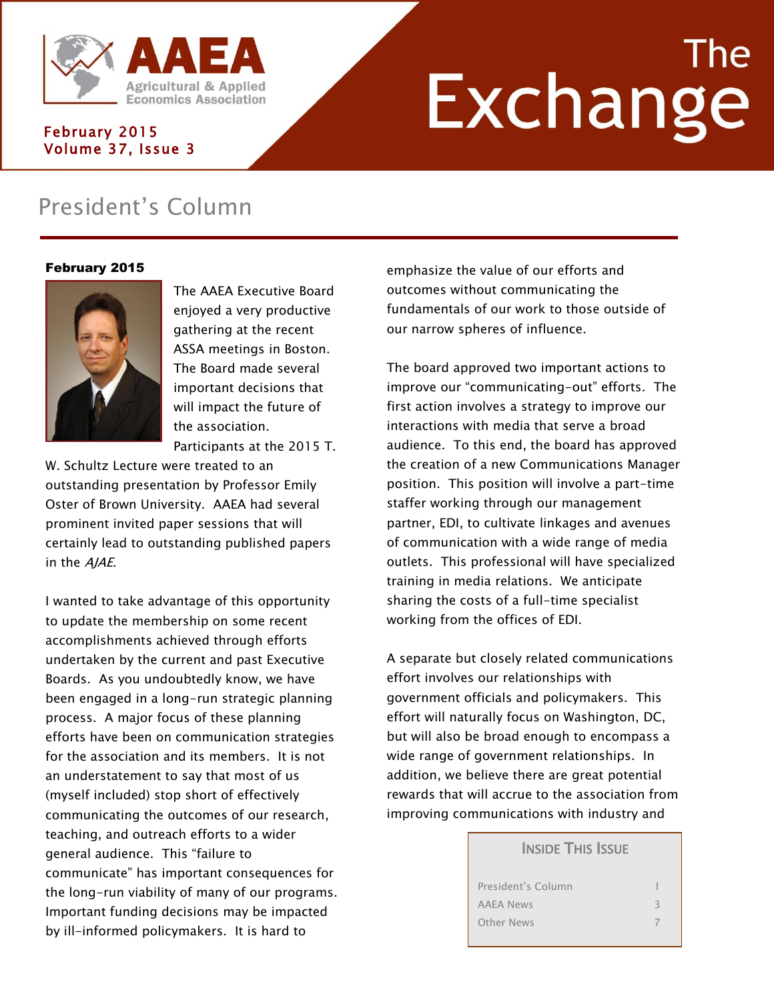

# Agricultural & Applied<br>Economics Association<br>158003

#### February 2015 Volume 37, Issue 3

## President's Column

#### February 2015



The AAEA Executive Board enjoyed a very productive gathering at the recent ASSA meetings in Boston. The Board made several important decisions that will impact the future of the association. Participants at the 2015 T.

W. Schultz Lecture were treated to an outstanding presentation by Professor Emily Oster of Brown University. AAEA had several prominent invited paper sessions that will certainly lead to outstanding published papers in the AJAE.

I wanted to take advantage of this opportunity to update the membership on some recent accomplishments achieved through efforts undertaken by the current and past Executive Boards. As you undoubtedly know, we have been engaged in a long-run strategic planning process. A major focus of these planning efforts have been on communication strategies for the association and its members. It is not an understatement to say that most of us (myself included) stop short of effectively communicating the outcomes of our research, teaching, and outreach efforts to a wider general audience. This "failure to communicate" has important consequences for the long-run viability of many of our programs. Important funding decisions may be impacted by ill-informed policymakers. It is hard to

emphasize the value of our efforts and outcomes without communicating the fundamentals of our work to those outside of our narrow spheres of influence.

The board approved two important actions to improve our "communicating-out" efforts. The first action involves a strategy to improve our interactions with media that serve a broad audience. To this end, the board has approved the creation of a new Communications Manager position. This position will involve a part-time staffer working through our management partner, EDI, to cultivate linkages and avenues of communication with a wide range of media outlets. This professional will have specialized training in media relations. We anticipate sharing the costs of a full-time specialist working from the offices of EDI.

A separate but closely related communications effort involves our relationships with government officials and policymakers. This effort will naturally focus on Washington, DC, but will also be broad enough to encompass a wide range of government relationships. In addition, we believe there are great potential rewards that will accrue to the association from improving communications with industry and

#### **INSIDE THIS ISSUE**

| President's Column |  |
|--------------------|--|
| AAEA News          |  |
| <b>Other News</b>  |  |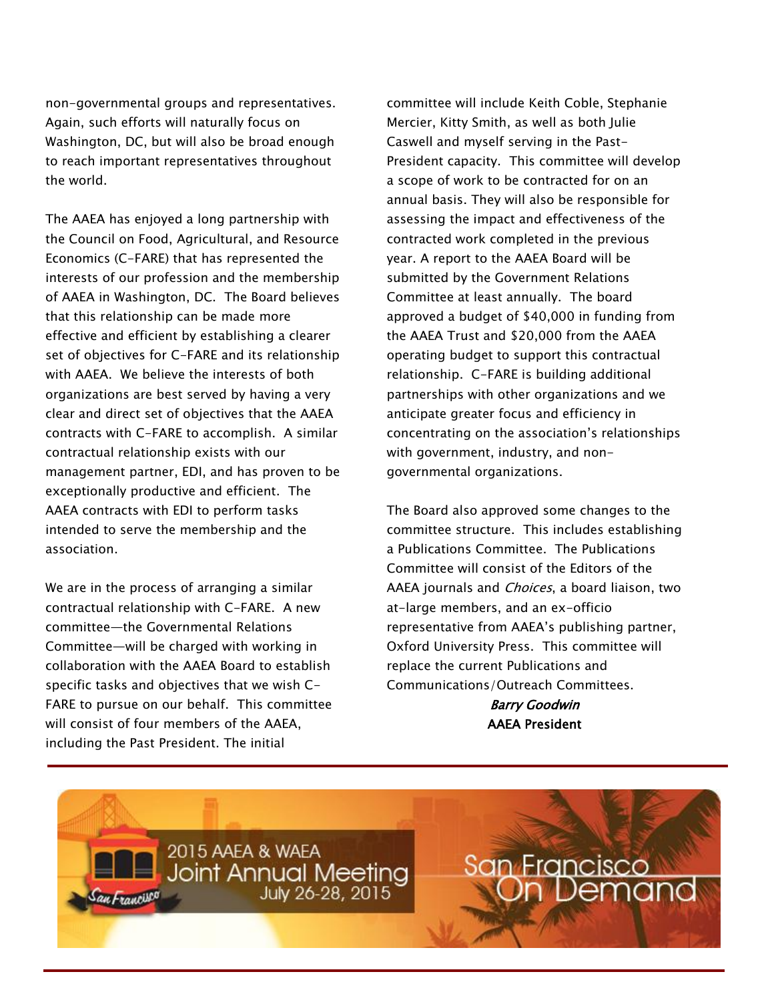non-governmental groups and representatives. Again, such efforts will naturally focus on Washington, DC, but will also be broad enough to reach important representatives throughout the world.

The AAEA has enjoyed a long partnership with the Council on Food, Agricultural, and Resource Economics (C-FARE) that has represented the interests of our profession and the membership of AAEA in Washington, DC. The Board believes that this relationship can be made more effective and efficient by establishing a clearer set of objectives for C-FARE and its relationship with AAEA. We believe the interests of both organizations are best served by having a very clear and direct set of objectives that the AAEA contracts with C-FARE to accomplish. A similar contractual relationship exists with our management partner, EDI, and has proven to be exceptionally productive and efficient. The AAEA contracts with EDI to perform tasks intended to serve the membership and the association.

We are in the process of arranging a similar contractual relationship with C-FARE. A new committee—the Governmental Relations Committee—will be charged with working in collaboration with the AAEA Board to establish specific tasks and objectives that we wish C-FARE to pursue on our behalf. This committee will consist of four members of the AAEA, including the Past President. The initial

committee will include Keith Coble, Stephanie Mercier, Kitty Smith, as well as both Julie Caswell and myself serving in the Past-President capacity. This committee will develop a scope of work to be contracted for on an annual basis. They will also be responsible for assessing the impact and effectiveness of the contracted work completed in the previous year. A report to the AAEA Board will be submitted by the Government Relations Committee at least annually. The board approved a budget of \$40,000 in funding from the AAEA Trust and \$20,000 from the AAEA operating budget to support this contractual relationship. C-FARE is building additional partnerships with other organizations and we anticipate greater focus and efficiency in concentrating on the association's relationships with government, industry, and nongovernmental organizations.

The Board also approved some changes to the committee structure. This includes establishing a Publications Committee. The Publications Committee will consist of the Editors of the AAEA journals and *Choices*, a board liaison, two at-large members, and an ex-officio representative from AAEA's publishing partner, Oxford University Press. This committee will replace the current Publications and Communications/Outreach Committees.

> Barry Goodwin AAEA President

2015 AAEA & WAEA **Joint Annual Meeting** July 26-28, 2015

**San Francisco**<br>**On Demand**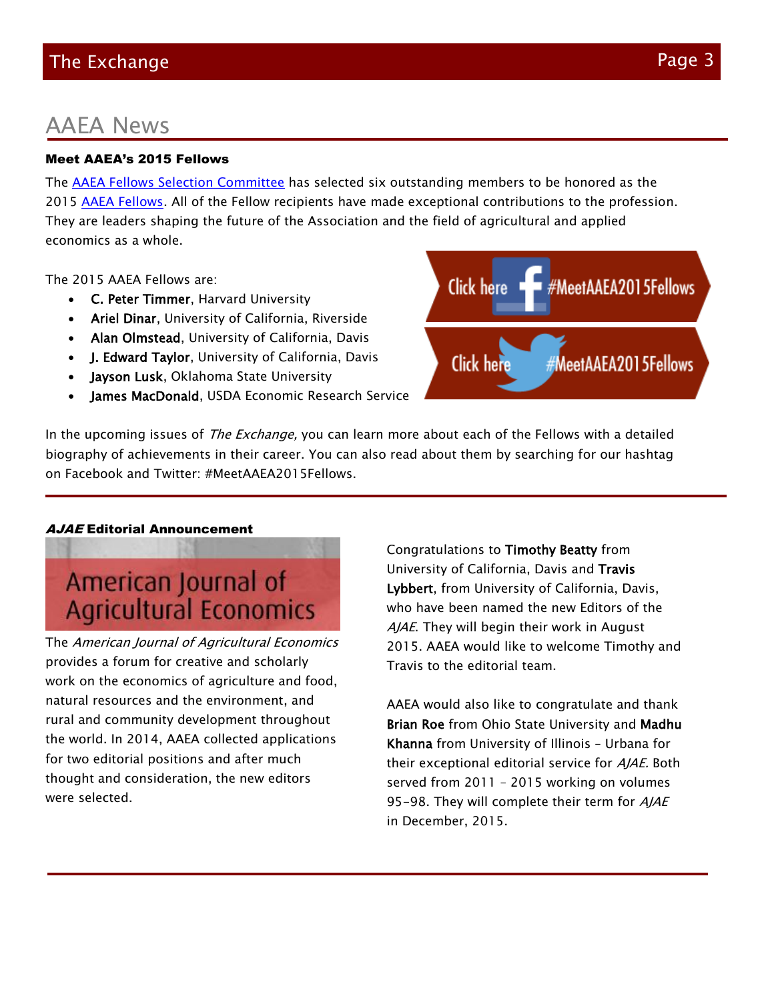#### AAEA News

#### Meet AAEA's 2015 Fellows

The [AAEA Fellows Selection Committee](http://www.aaea.org/about-aaea/aaea-committees) has selected six outstanding members to be honored as the 2015 [AAEA Fellows.](http://www.aaea.org/about-aaea/awards-and-honors/aaea-fellows) All of the Fellow recipients have made exceptional contributions to the profession. They are leaders shaping the future of the Association and the field of agricultural and applied economics as a whole.

The 2015 AAEA Fellows are:

- C. Peter Timmer, Harvard University
- Ariel Dinar, University of California, Riverside
- Alan Olmstead, University of California, Davis
- J. Edward Taylor, University of California, Davis
- Jayson Lusk, Oklahoma State University
- James MacDonald, USDA Economic Research Service

Congratulations to Timothy Beatty from University of California, Davis and Travis Lybbert, from University of California, Davis, who have been named the new Editors of the AJAE. They will begin their work in August 2015. AAEA would like to welcome Timothy and Travis to the editorial team.

AAEA would also like to congratulate and thank Brian Roe from Ohio State University and Madhu Khanna from University of Illinois – Urbana for their exceptional editorial service for AJAE. Both served from 2011 – 2015 working on volumes 95-98. They will complete their term for AJAE in December, 2015.

In the upcoming issues of *The Exchange*, you can learn more about each of the Fellows with a detailed biography of achievements in their career. You can also read about them by searching for our hashtag on Facebook and Twitter: #MeetAAEA2015Fellows.

#### **AJAE** Editorial Announcement

American Journal of **Agricultural Economics** 

The American Journal of Agricultural Economics provides a forum for creative and scholarly work on the economics of agriculture and food, natural resources and the environment, and rural and community development throughout the world. In 2014, AAEA collected applications for two editorial positions and after much thought and consideration, the new editors were selected.

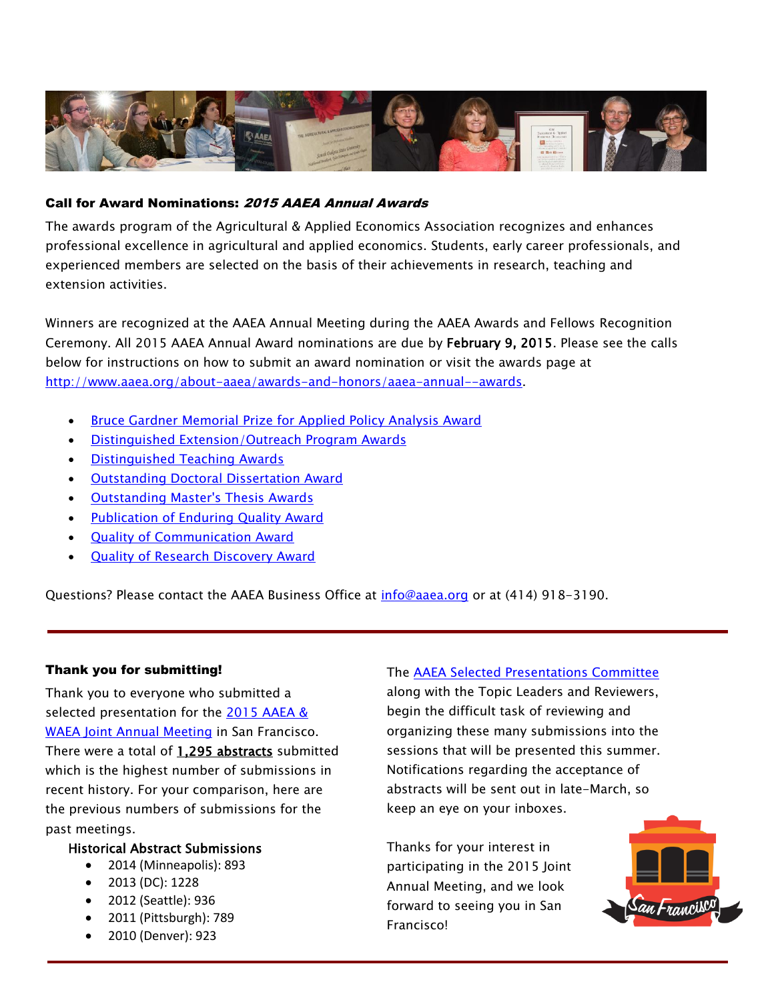

#### Call for Award Nominations: 2015 AAEA Annual Awards

The awards program of the Agricultural & Applied Economics Association recognizes and enhances professional excellence in agricultural and applied economics. Students, early career professionals, and experienced members are selected on the basis of their achievements in research, teaching and extension activities.

Winners are recognized at the AAEA Annual Meeting during the AAEA Awards and Fellows Recognition Ceremony. All 2015 AAEA Annual Award nominations are due by February 9, 2015. Please see the calls below for instructions on how to submit an award nomination or visit the awards page at [http://www.aaea.org/about-aaea/awards-and-honors/aaea-annual--awards.](http://www.aaea.org/about-aaea/awards-and-honors/aaea-annual--awards)

- [Bruce Gardner Memorial Prize for Applied Policy Analysis Award](http://www.aaea.org/about-aaea/awards-and-honors/aaea-annual--awards/bruce-gardner-memorial-prize-for-applied-policy-analysis)
- [Distinguished Extension/Outreach Program Awards](http://www.aaea.org/about-aaea/awards-and-honors/aaea-annual--awards/distinguished-extensionoutreach-program-awards)
- [Distinguished Teaching Awards](http://www.aaea.org/about-aaea/awards-and-honors/aaea-annual--awards/distinguished-teaching-awards)
- **[Outstanding Doctoral Dissertation Award](http://www.aaea.org/about-aaea/awards-and-honors/aaea-annual--awards/outstanding-doctoral-dissertation-award)**
- [Outstanding Master's Thesis Awards](http://www.aaea.org/about-aaea/awards-and-honors/aaea-annual--awards/outstanding-masters-thesis)
- [Publication of Enduring Quality Award](http://www.aaea.org/about-aaea/awards-and-honors/aaea-annual--awards/publication-of-enduring-quality)
- [Quality of Communication Award](http://www.aaea.org/about-aaea/awards-and-honors/aaea-annual--awards/quality-of-communication-award)
- [Quality of Research Discovery Award](http://www.aaea.org/about-aaea/awards-and-honors/aaea-annual--awards/quality-of-research-discovery-award)

Questions? Please contact the AAEA Business Office at [info@aaea.org](mailto:info@aaea.org) or at (414) 918-3190.

#### Thank you for submitting!

Thank you to everyone who submitted a selected presentation for the 2015 [AAEA &](http://www.aaea.org/meetings/annual-meeting/2015-aaea--waea-joint-annual-meeting/san-francisco-on-demand/san-franciscon-on-demand-issue-1)  [WAEA Joint Annual Meeting](http://www.aaea.org/meetings/annual-meeting/2015-aaea--waea-joint-annual-meeting/san-francisco-on-demand/san-franciscon-on-demand-issue-1) in San Francisco. There were a total of 1,295 abstracts submitted which is the highest number of submissions in recent history. For your comparison, here are the previous numbers of submissions for the past meetings.

#### Historical Abstract Submissions

- 2014 (Minneapolis): 893
- 2013 (DC): 1228
- 2012 (Seattle): 936
- 2011 (Pittsburgh): 789
- 2010 (Denver): 923

#### The [AAEA Selected Presentations Committee](http://www.aaea.org/about-aaea/aaea-committees#Presentation)

along with the Topic Leaders and Reviewers, begin the difficult task of reviewing and organizing these many submissions into the sessions that will be presented this summer. Notifications regarding the acceptance of abstracts will be sent out in late-March, so keep an eye on your inboxes.

Thanks for your interest in participating in the 2015 Joint Annual Meeting, and we look forward to seeing you in San Francisco!

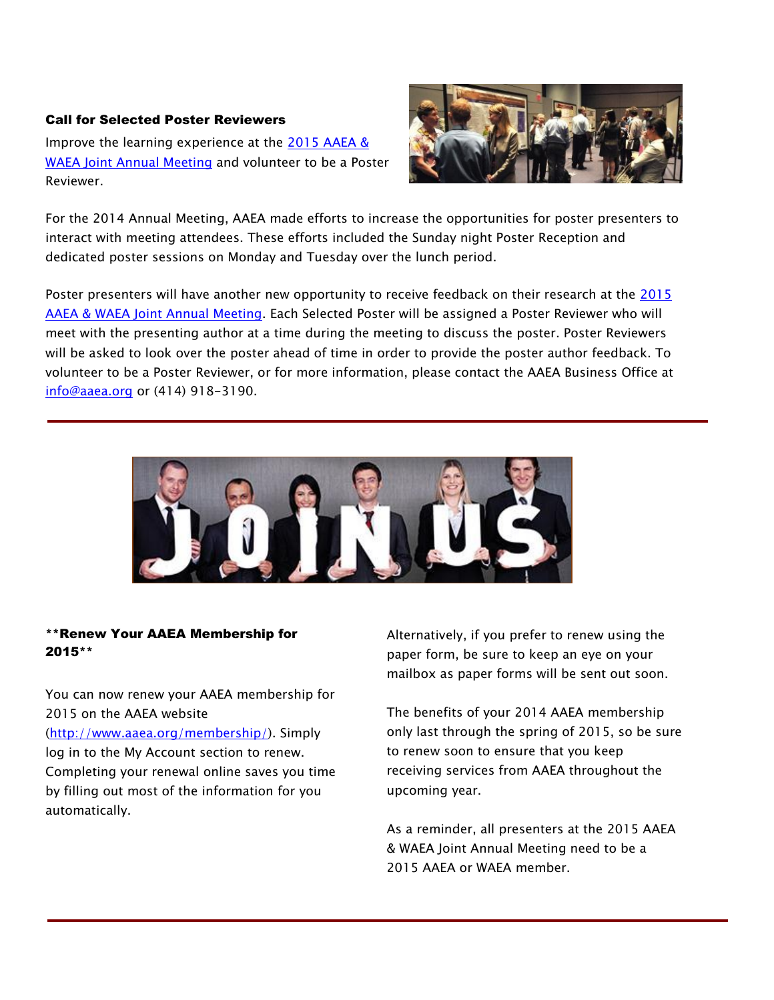#### Call for Selected Poster Reviewers

Improve the learning experience at the 2015 AAEA & [WAEA Joint Annual Meeting](http://www.aaea.org/meetings/annual-meeting/2015-aaea--waea-joint-annual-meeting/san-francisco-on-demand/san-franciscon-on-demand-issue-1) and volunteer to be a Poster Reviewer.



For the 2014 Annual Meeting, AAEA made efforts to increase the opportunities for poster presenters to interact with meeting attendees. These efforts included the Sunday night Poster Reception and dedicated poster sessions on Monday and Tuesday over the lunch period.

Poster presenters will have another new opportunity to receive feedback on their research at the [2015](http://www.aaea.org/meetings/annual-meeting/2015-aaea--waea-joint-annual-meeting/san-francisco-on-demand/san-franciscon-on-demand-issue-1)  [AAEA & WAEA Joint Annual Meeting.](http://www.aaea.org/meetings/annual-meeting/2015-aaea--waea-joint-annual-meeting/san-francisco-on-demand/san-franciscon-on-demand-issue-1) Each Selected Poster will be assigned a Poster Reviewer who will meet with the presenting author at a time during the meeting to discuss the poster. Poster Reviewers will be asked to look over the poster ahead of time in order to provide the poster author feedback. To volunteer to be a Poster Reviewer, or for more information, please contact the AAEA Business Office at [info@aaea.org](mailto:info@aaea.org) or (414) 918-3190.



#### \*\*Renew Your AAEA Membership for 2015\*\*

You can now renew your AAEA membership for 2015 on the AAEA website [\(http://www.aaea.org/membership/\)](http://www.aaea.org/membership/). Simply log in to the My Account section to renew. Completing your renewal online saves you time by filling out most of the information for you automatically.

Alternatively, if you prefer to renew using the paper form, be sure to keep an eye on your mailbox as paper forms will be sent out soon.

The benefits of your 2014 AAEA membership only last through the spring of 2015, so be sure to renew soon to ensure that you keep receiving services from AAEA throughout the upcoming year.

As a reminder, all presenters at the 2015 AAEA & WAEA Joint Annual Meeting need to be a 2015 AAEA or WAEA member.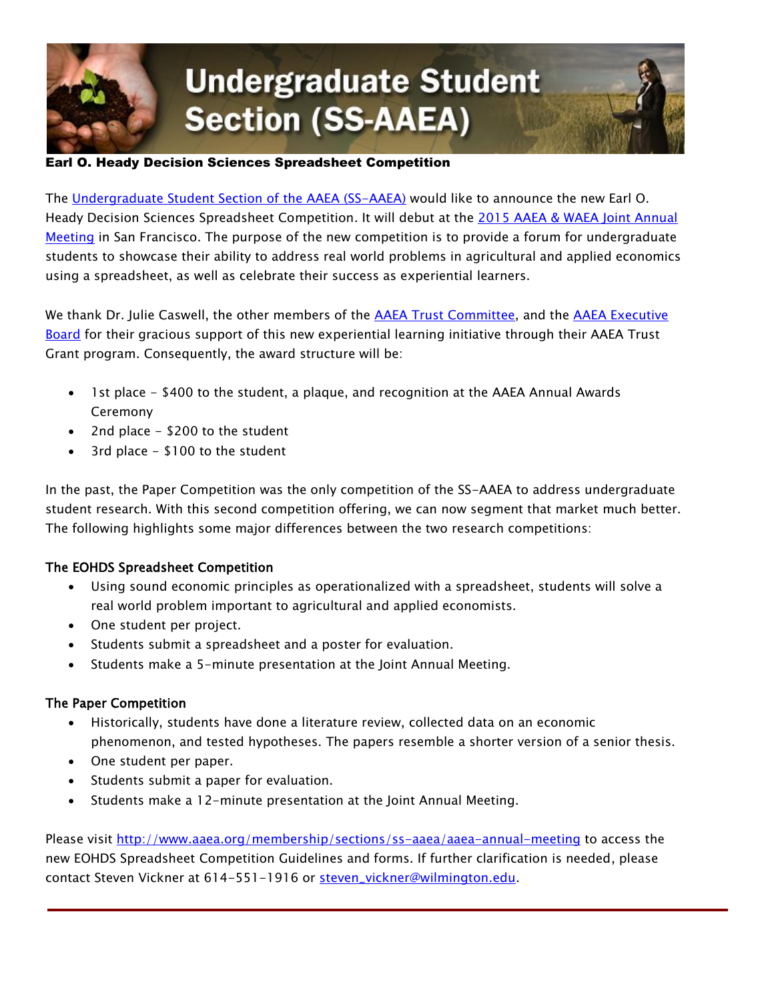

## **Undergraduate Student Section (SS-AAEA)**

#### Earl O. Heady Decision Sciences Spreadsheet Competition

The [Undergraduate Student Section of the AAEA \(SS-AAEA\)](http://www.aaea.org/membership/sections/ss-aaea/) would like to announce the new Earl O. Heady Decision Sciences Spreadsheet Competition. It will debut at the [2015 AAEA & WAEA Joint Annual](http://www.aaea.org/meetings/annual-meeting/2015-aaea--waea-joint-annual-meeting/san-francisco-on-demand/san-franciscon-on-demand-issue-1)  [Meeting](http://www.aaea.org/meetings/annual-meeting/2015-aaea--waea-joint-annual-meeting/san-francisco-on-demand/san-franciscon-on-demand-issue-1) in San Francisco. The purpose of the new competition is to provide a forum for undergraduate students to showcase their ability to address real world problems in agricultural and applied economics using a spreadsheet, as well as celebrate their success as experiential learners.

We thank Dr. Julie Caswell, the other members of the [AAEA Trust Committee,](http://www.aaea.org/about-aaea/aaea-committees#Trust) and the AAEA Executive [Board](http://www.aaea.org/about-aaea/aaea-executive-board) for their gracious support of this new experiential learning initiative through their AAEA Trust Grant program. Consequently, the award structure will be:

- 1st place \$400 to the student, a plaque, and recognition at the AAEA Annual Awards Ceremony
- 2nd place \$200 to the student
- 3rd place \$100 to the student

In the past, the Paper Competition was the only competition of the SS-AAEA to address undergraduate student research. With this second competition offering, we can now segment that market much better. The following highlights some major differences between the two research competitions:

#### The EOHDS Spreadsheet Competition

- Using sound economic principles as operationalized with a spreadsheet, students will solve a real world problem important to agricultural and applied economists.
- One student per project.
- Students submit a spreadsheet and a poster for evaluation.
- Students make a 5-minute presentation at the Joint Annual Meeting.

#### The Paper Competition

- Historically, students have done a literature review, collected data on an economic phenomenon, and tested hypotheses. The papers resemble a shorter version of a senior thesis.
- One student per paper.
- Students submit a paper for evaluation.
- Students make a 12-minute presentation at the Joint Annual Meeting.

Please visit<http://www.aaea.org/membership/sections/ss-aaea/aaea-annual-meeting> to access the new EOHDS Spreadsheet Competition Guidelines and forms. If further clarification is needed, please contact Steven Vickner at 614-551-1916 or [steven\\_vickner@wilmington.edu.](mailto:steven_vickner@wilmington.edu)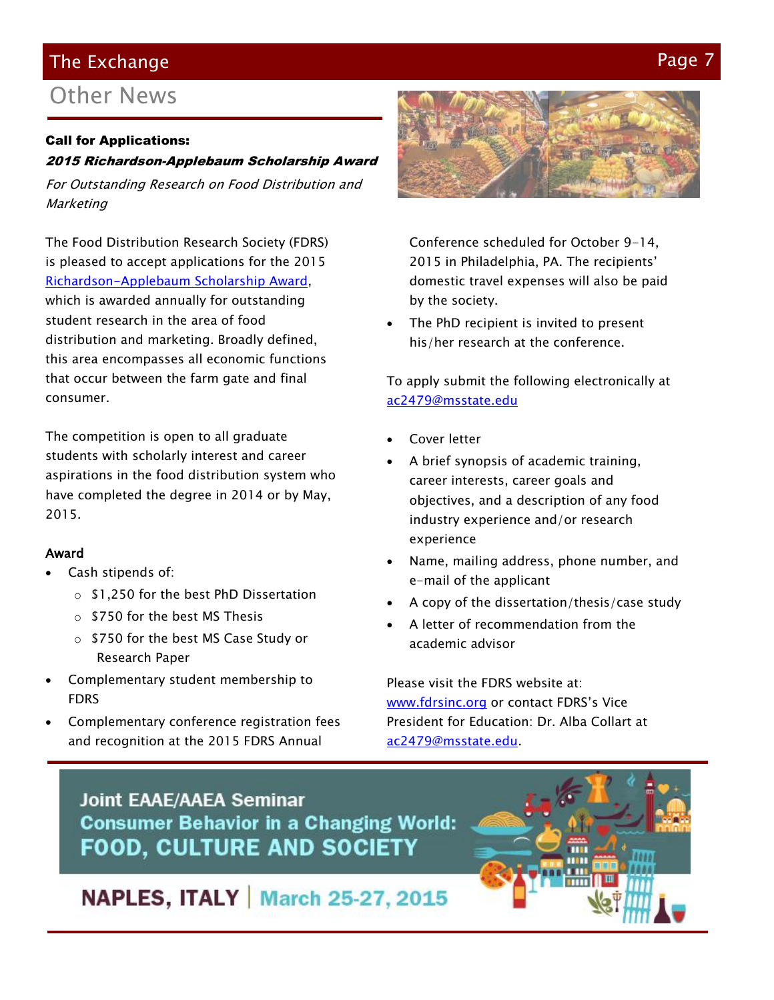#### The Exchange Page 7 (1996) and the exchange  $\mathsf{P}$

#### Other News

#### Call for Applications:

#### 2015 Richardson-Applebaum Scholarship Award

For Outstanding Research on Food Distribution and **Marketing** 

The Food Distribution Research Society (FDRS) is pleased to accept applications for the 2015 [Richardson-Applebaum Scholarship Award,](http://www.fdrsinc.org/fdrs-awards/#apple) which is awarded annually for outstanding student research in the area of food distribution and marketing. Broadly defined, this area encompasses all economic functions that occur between the farm gate and final consumer.

The competition is open to all graduate students with scholarly interest and career aspirations in the food distribution system who have completed the degree in 2014 or by May, 2015.

#### Award

- Cash stipends of:
	- o \$1,250 for the best PhD Dissertation
	- o \$750 for the best MS Thesis
	- o \$750 for the best MS Case Study or Research Paper
- Complementary student membership to FDRS
- Complementary conference registration fees and recognition at the 2015 FDRS Annual



Conference scheduled for October 9-14, 2015 in Philadelphia, PA. The recipients' domestic travel expenses will also be paid by the society.

 The PhD recipient is invited to present his/her research at the conference.

To apply submit the following electronically at [ac2479@msstate.edu](mailto:ac2479@msstate.edu)

- Cover letter
- A brief synopsis of academic training, career interests, career goals and objectives, and a description of any food industry experience and/or research experience
- Name, mailing address, phone number, and e-mail of the applicant
- A copy of the dissertation/thesis/case study
- A letter of recommendation from the academic advisor

Please visit the FDRS website at: [www.fdrsinc.org](http://www.fdrsinc.org/) or contact FDRS's Vice President for Education: Dr. Alba Collart at [ac2479@msstate.edu.](mailto:ac2479@msstate.edu)





#### **NAPLES, ITALY | March 25-27, 2015**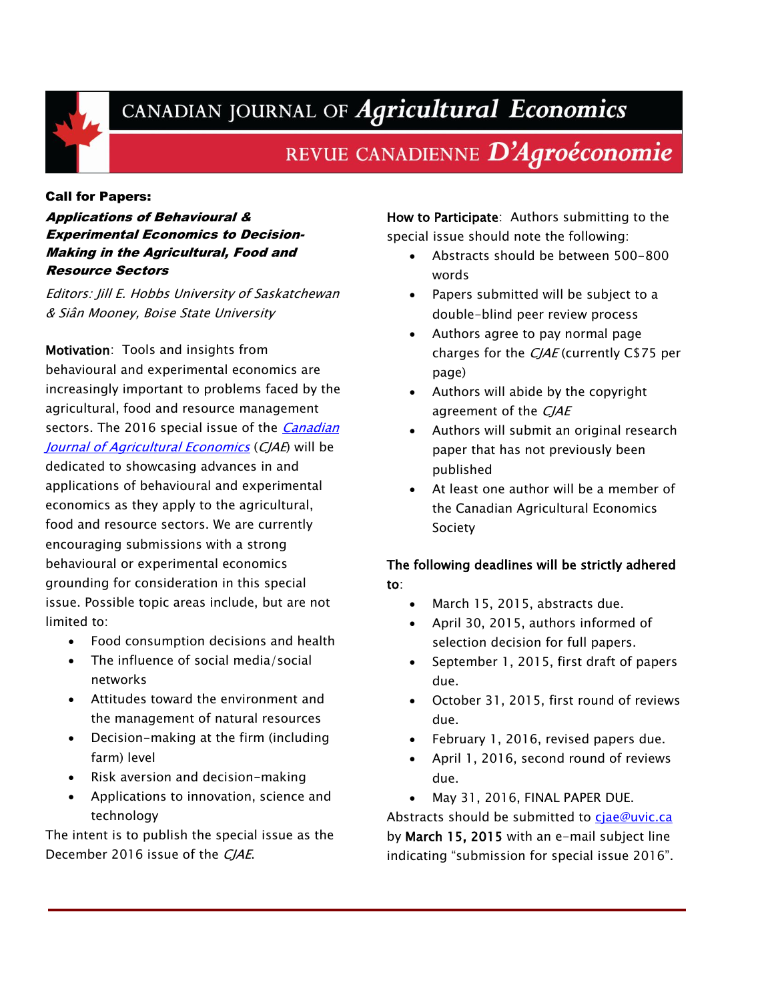

## CANADIAN JOURNAL OF Agricultural Economics

#### REVUE CANADIENNE D'Agroéconomie

#### Call for Papers:

Applications of Behavioural & Experimental Economics to Decision-Making in the Agricultural, Food and Resource Sectors

Editors: Jill E. Hobbs University of Saskatchewan & Siân Mooney, Boise State University

Motivation: Tools and insights from behavioural and experimental economics are increasingly important to problems faced by the agricultural, food and resource management sectors. The 2016 special issue of the *Canadian* [Journal of Agricultural Economics](http://caes.usask.ca/cjae/) (CJAE) will be dedicated to showcasing advances in and applications of behavioural and experimental economics as they apply to the agricultural, food and resource sectors. We are currently encouraging submissions with a strong behavioural or experimental economics grounding for consideration in this special issue. Possible topic areas include, but are not limited to:

- Food consumption decisions and health
- The influence of social media/social networks
- Attitudes toward the environment and the management of natural resources
- Decision-making at the firm (including farm) level
- Risk aversion and decision-making
- Applications to innovation, science and technology

The intent is to publish the special issue as the December 2016 issue of the CJAE.

How to Participate: Authors submitting to the special issue should note the following:

- Abstracts should be between 500-800 words
- Papers submitted will be subject to a double-blind peer review process
- Authors agree to pay normal page charges for the CJAE (currently C\$75 per page)
- Authors will abide by the copyright agreement of the CJAE
- Authors will submit an original research paper that has not previously been published
- At least one author will be a member of the Canadian Agricultural Economics Society

#### The following deadlines will be strictly adhered to:

- March 15, 2015, abstracts due.
- April 30, 2015, authors informed of selection decision for full papers.
- September 1, 2015, first draft of papers due.
- October 31, 2015, first round of reviews due.
- February 1, 2016, revised papers due.
- April 1, 2016, second round of reviews due.
- May 31, 2016, FINAL PAPER DUE.

Abstracts should be submitted to [cjae@uvic.ca](mailto:cjae@uvic.ca) by March 15, 2015 with an e-mail subject line indicating "submission for special issue 2016".